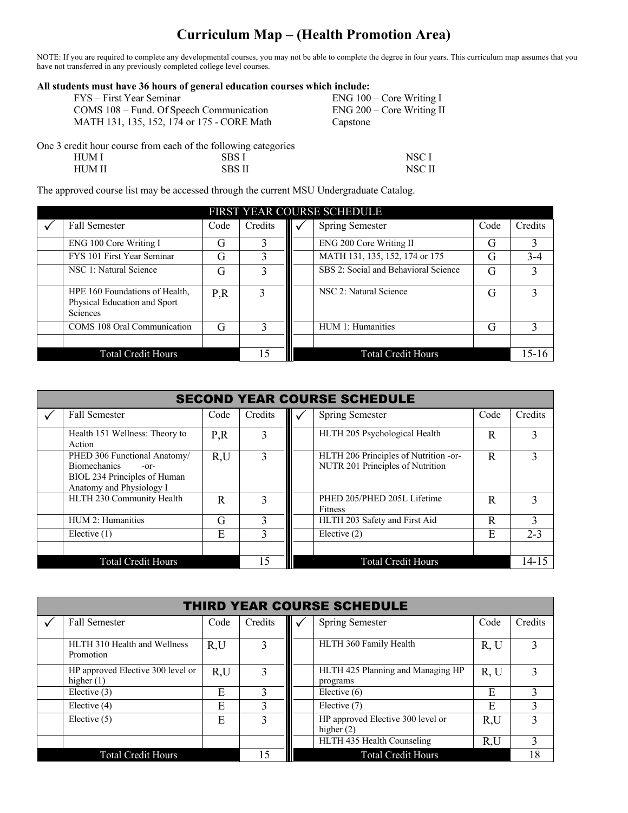## **Curriculum Map – (Health Promotion Area)**

NOTE: If you are required to complete any developmental courses, you may not be able to complete the degree in four years. This curriculum map assumes that you have not transferred in any previously completed college level courses.

| All students must have 36 hours of general education courses which include: |                             |  |  |  |  |  |  |
|-----------------------------------------------------------------------------|-----------------------------|--|--|--|--|--|--|
| FYS – First Year Seminar                                                    | $ENG 100 - Core Writing I$  |  |  |  |  |  |  |
| COMS 108 – Fund. Of Speech Communication                                    | $ENG 200 - Core Writing II$ |  |  |  |  |  |  |
| MATH 131, 135, 152, 174 or 175 - CORE Math                                  | Capstone                    |  |  |  |  |  |  |
| One 3 credit hour course from each of the following categories              |                             |  |  |  |  |  |  |

HUM I SBS I NSC I HUM II SBS II NSC II

The approved course list may be accessed through the current MSU Undergraduate Catalog.

|                                                                                   |      |         | FIRST YEAR COURSE SCHEDULE           |      |              |
|-----------------------------------------------------------------------------------|------|---------|--------------------------------------|------|--------------|
| <b>Fall Semester</b>                                                              | Code | Credits | Spring Semester                      | Code | Credits      |
| ENG 100 Core Writing I                                                            | G    |         | ENG 200 Core Writing II              | G    | 3            |
| FYS 101 First Year Seminar                                                        | G    |         | MATH 131, 135, 152, 174 or 175       | G    | $3 - 4$      |
| NSC 1: Natural Science                                                            | G    | 3       | SBS 2: Social and Behavioral Science | G    |              |
| HPE 160 Foundations of Health,<br>Physical Education and Sport<br><b>Sciences</b> | P, R | 3       | NSC 2: Natural Science               | G    | $\mathbf{3}$ |
| COMS 108 Oral Communication                                                       | G    |         | HUM 1: Humanities                    | G    | 3            |
|                                                                                   |      |         |                                      |      |              |
| <b>Total Credit Hours</b>                                                         |      | 15      | <b>Total Credit Hours</b>            |      | $15 - 16$    |

| <b>SECOND YEAR COURSE SCHEDULE</b> |                                                                                                                           |      |              |  |                                                                           |      |           |
|------------------------------------|---------------------------------------------------------------------------------------------------------------------------|------|--------------|--|---------------------------------------------------------------------------|------|-----------|
|                                    | <b>Fall Semester</b>                                                                                                      | Code | Credits      |  | <b>Spring Semester</b>                                                    | Code | Credits   |
|                                    | Health 151 Wellness: Theory to<br>Action                                                                                  | P,R  | 3            |  | HLTH 205 Psychological Health                                             | R    | 3         |
|                                    | PHED 306 Functional Anatomy/<br><b>Biomechanics</b><br>$-0r-$<br>BIOL 234 Principles of Human<br>Anatomy and Physiology I | R,U  |              |  | HLTH 206 Principles of Nutrition -or-<br>NUTR 201 Principles of Nutrition | R    | 3         |
|                                    | HLTH 230 Community Health                                                                                                 | R    |              |  | PHED 205/PHED 205L Lifetime<br>Fitness                                    | R    |           |
|                                    | HUM 2: Humanities                                                                                                         | G    | $\mathbf{3}$ |  | HLTH 203 Safety and First Aid                                             | R    | 3         |
|                                    | Elective $(1)$                                                                                                            | E    |              |  | Elective $(2)$                                                            | E    | $2 - 3$   |
|                                    | <b>Total Credit Hours</b>                                                                                                 |      | . 5          |  | <b>Total Credit Hours</b>                                                 |      | $14 - 15$ |

| <b>THIRD YEAR COURSE SCHEDULE</b> |                                                   |      |         |  |                                                   |      |         |  |
|-----------------------------------|---------------------------------------------------|------|---------|--|---------------------------------------------------|------|---------|--|
|                                   | <b>Fall Semester</b>                              | Code | Credits |  | <b>Spring Semester</b>                            | Code | Credits |  |
|                                   | HLTH 310 Health and Wellness<br>Promotion         | R,U  |         |  | HLTH 360 Family Health                            | R, U |         |  |
|                                   | HP approved Elective 300 level or<br>higher $(1)$ | R,U  |         |  | HLTH 425 Planning and Managing HP<br>programs     | R, U |         |  |
|                                   | Elective $(3)$                                    | E    |         |  | Elective $(6)$                                    | Е    |         |  |
|                                   | Elective (4)                                      | Ε    |         |  | Elective (7)                                      | Е    |         |  |
|                                   | Elective $(5)$                                    | E    |         |  | HP approved Elective 300 level or<br>higher $(2)$ | R,U  |         |  |
|                                   |                                                   |      |         |  | HLTH 435 Health Counseling                        | R,U  |         |  |
|                                   | <b>Total Credit Hours</b>                         |      |         |  | <b>Total Credit Hours</b>                         |      | 18      |  |